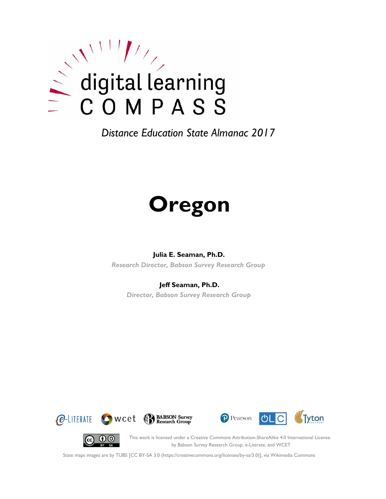

# **Oregon**

#### **Julia E. Seaman, Ph.D.**

*Research Director, Babson Survey Research Group*

#### **Jeff Seaman, Ph.D.**

*Director, Babson Survey Research Group*









This work is licensed under a Creative Commons Attribution-ShareAlike 4.0 International License. by Babson Survey Research Group, e-Literate, and WCET

State maps images are by TUBS [CC BY-SA 3.0 (https://creativecommons.org/licenses/by-sa/3.0)], via Wikimedia Commons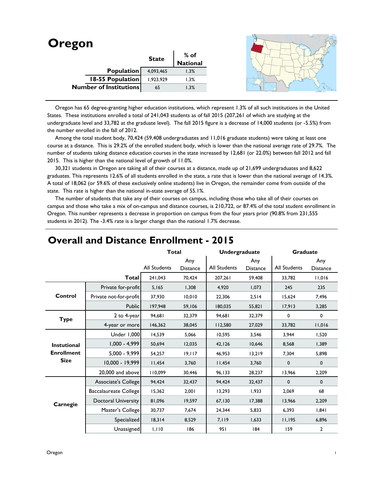| <b>Oregon</b> |                               |              |                  |  |
|---------------|-------------------------------|--------------|------------------|--|
|               |                               | <b>State</b> | % of<br>National |  |
|               |                               |              |                  |  |
|               | <b>Population</b>             | 4,093,465    | 1.3%             |  |
|               | 18-55 Population              | 1,923,929    | 1.3%             |  |
|               | <b>Number of Institutions</b> | 65           | 1.3%             |  |
|               |                               |              |                  |  |

 Oregon has 65 degree-granting higher education institutions, which represent 1.3% of all such institutions in the United States. These institutions enrolled a total of 241,043 students as of fall 2015 (207,261 of which are studying at the undergraduate level and 33,782 at the graduate level). The fall 2015 figure is a decrease of 14,000 students (or -5.5%) from the number enrolled in the fall of 2012.

Among the total student body, 70,424 (59,408 undergraduates and 11,016 graduate students) were taking at least one course at a distance. This is 29.2% of the enrolled student body, which is lower than the national average rate of 29.7%. The number of students taking distance education courses in the state increased by 12,681 (or 22.0%) between fall 2012 and fall 2015. This is higher than the national level of growth of 11.0%.

 30,321 students in Oregon are taking all of their courses at a distance, made up of 21,699 undergraduates and 8,622 graduates. This represents 12.6% of all students enrolled in the state, a rate that is lower than the national average of 14.3%. A total of 18,062 (or 59.6% of these exclusively online students) live in Oregon, the remainder come from outside of the state. This rate is higher than the national in-state average of 55.1%.

 The number of students that take any of their courses on campus, including those who take all of their courses on campus and those who take a mix of on-campus and distance courses, is 210,722, or 87.4% of the total student enrollment in Oregon. This number represents a decrease in proportion on campus from the four years prior (90.8% from 231,555 students in 2012). The -3.4% rate is a larger change than the national 1.7% decrease.

|                                                        |                            | <b>Total</b>        |                        | <b>Undergraduate</b> |                        | Graduate     |                        |
|--------------------------------------------------------|----------------------------|---------------------|------------------------|----------------------|------------------------|--------------|------------------------|
|                                                        |                            | <b>All Students</b> | Any<br><b>Distance</b> | <b>All Students</b>  | Any<br><b>Distance</b> | All Students | Any<br><b>Distance</b> |
|                                                        | <b>Total</b>               | 241,043             | 70.424                 | 207,261              | 59,408                 | 33,782       | 11,016                 |
|                                                        | Private for-profit         | 5,165               | 1,308                  | 4.920                | 1.073                  | 245          | 235                    |
| Control                                                | Private not-for-profit     | 37,930              | 10,010                 | 22,306               | 2,514                  | 15,624       | 7,496                  |
|                                                        | Public                     | 197,948             | 59,106                 | 180,035              | 55,821                 | 17,913       | 3,285                  |
| <b>Type</b>                                            | 2 to 4-year                | 94,681              | 32,379                 | 94,681               | 32,379                 | 0            | 0                      |
|                                                        | 4-year or more             | 146,362             | 38,045                 | 112,580              | 27,029                 | 33,782       | 11,016                 |
| <b>Instutional</b><br><b>Enrollment</b><br><b>Size</b> | Under 1,000                | 14,539              | 5,066                  | 10,595               | 3,546                  | 3,944        | 1,520                  |
|                                                        | $1,000 - 4,999$            | 50,694              | 12,035                 | 42,126               | 10,646                 | 8,568        | 1,389                  |
|                                                        | $5,000 - 9,999$            | 54,257              | 19,117                 | 46,953               | 13,219                 | 7,304        | 5,898                  |
|                                                        | 10,000 - 19,999            | 11,454              | 3,760                  | 11,454               | 3,760                  | $\mathbf 0$  | $\mathbf{0}$           |
|                                                        | 20,000 and above           | 110,099             | 30,446                 | 96,133               | 28,237                 | 13,966       | 2,209                  |
|                                                        | Associate's College        | 94,424              | 32,437                 | 94,424               | 32,437                 | $\mathbf 0$  | $\mathbf{0}$           |
|                                                        | Baccalaureate College      | 15,362              | 2,001                  | 13,293               | 1,933                  | 2,069        | 68                     |
| Carnegie                                               | <b>Doctoral University</b> | 81,096              | 19,597                 | 67,130               | 17,388                 | 13,966       | 2,209                  |
|                                                        | Master's College           | 30,737              | 7,674                  | 24,344               | 5,833                  | 6,393        | 1,841                  |
|                                                        | Specialized                | 18,314              | 8,529                  | 7,119                | 1,633                  | 11,195       | 6,896                  |
|                                                        | Unassigned                 | 1,110               | 186                    | 951                  | 184                    | 159          | $\overline{2}$         |

### **Overall and Distance Enrollment - 2015**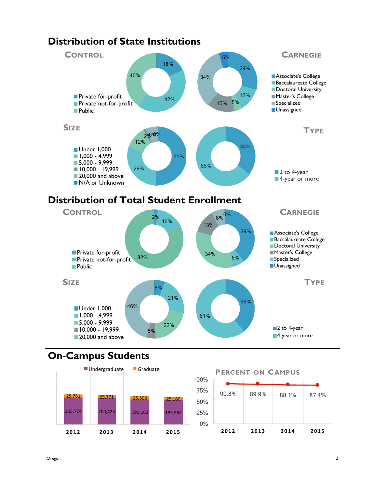

## **Distribution of Total Student Enrollment**



## **On-Campus Students**



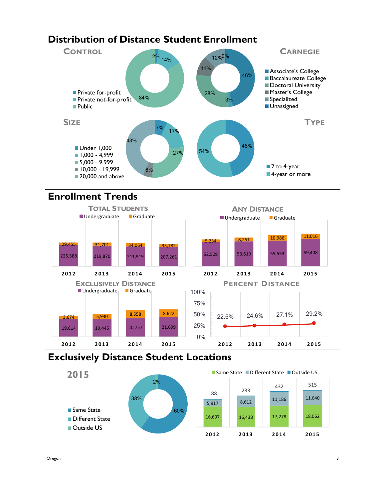## **Distribution of Distance Student Enrollment**



## **Enrollment Trends**



## **Exclusively Distance Student Locations**